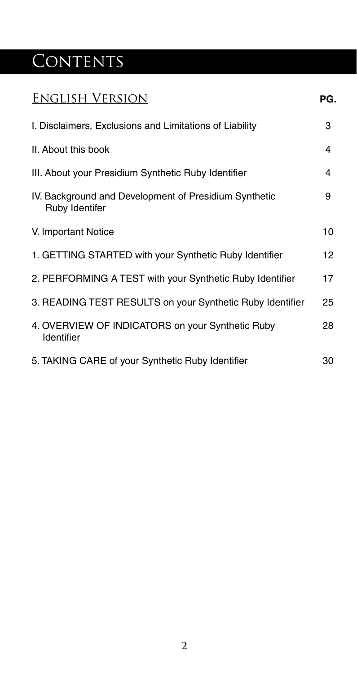# CONTENTS

| <b>ENGLISH VERSION</b>                                                  | PG. |
|-------------------------------------------------------------------------|-----|
| I. Disclaimers, Exclusions and Limitations of Liability                 | 3   |
| II. About this book                                                     | 4   |
| III. About your Presidium Synthetic Ruby Identifier                     | 4   |
| IV. Background and Development of Presidium Synthetic<br>Ruby Identifer | 9   |
| V. Important Notice                                                     | 10  |
| 1. GETTING STARTED with your Synthetic Ruby Identifier                  | 12  |
| 2. PERFORMING A TEST with your Synthetic Ruby Identifier                | 17  |
| 3. READING TEST RESULTS on your Synthetic Ruby Identifier               | 25  |
| 4. OVERVIEW OF INDICATORS on your Synthetic Ruby<br>Identifier          | 28  |
| 5. TAKING CARE of your Synthetic Ruby Identifier                        | 30  |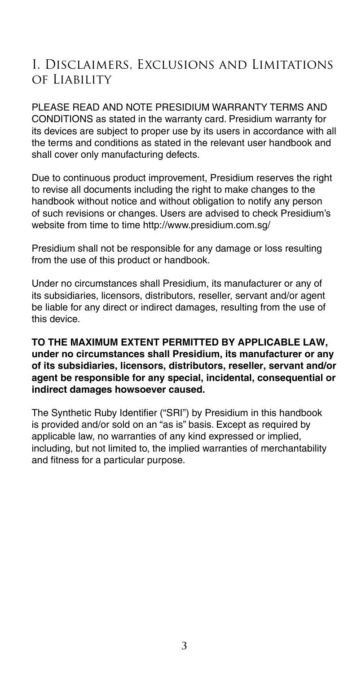## I. Disclaimers, Exclusions and Limitations of Liability

PLEASE READ AND NOTE PRESIDIUM WARRANTY TERMS AND CONDITIONS as stated in the warranty card. Presidium warranty for its devices are subject to proper use by its users in accordance with all the terms and conditions as stated in the relevant user handbook and shall cover only manufacturing defects.

Due to continuous product improvement, Presidium reserves the right to revise all documents including the right to make changes to the handbook without notice and without obligation to notify any person of such revisions or changes. Users are advised to check Presidium's website from time to time http://www.presidium.com.sg/

Presidium shall not be responsible for any damage or loss resulting from the use of this product or handbook.

Under no circumstances shall Presidium, its manufacturer or any of its subsidiaries, licensors, distributors, reseller, servant and/or agent be liable for any direct or indirect damages, resulting from the use of this device.

#### **TO THE MAXIMUM EXTENT PERMITTED BY APPLICABLE LAW, under no circumstances shall Presidium, its manufacturer or any of its subsidiaries, licensors, distributors, reseller, servant and/or agent be responsible for any special, incidental, consequential or indirect damages howsoever caused.**

The Synthetic Ruby Identifier ("SRI") by Presidium in this handbook is provided and/or sold on an "as is" basis. Except as required by applicable law, no warranties of any kind expressed or implied, including, but not limited to, the implied warranties of merchantability and fitness for a particular purpose.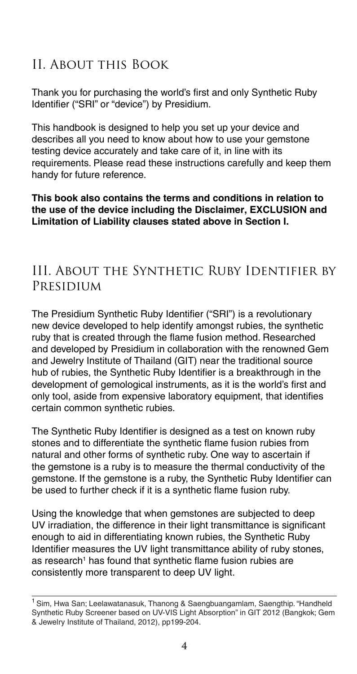## II. About this Book

Thank you for purchasing the world's first and only Synthetic Ruby Identifier ("SRI" or "device") by Presidium.

This handbook is designed to help you set up your device and describes all you need to know about how to use your gemstone testing device accurately and take care of it, in line with its requirements. Please read these instructions carefully and keep them handy for future reference.

#### **This book also contains the terms and conditions in relation to the use of the device including the Disclaimer, EXCLUSION and Limitation of Liability clauses stated above in Section I.**

### III. About the Synthetic Ruby Identifier by Presidium

The Presidium Synthetic Ruby Identifier ("SRI") is a revolutionary new device developed to help identify amongst rubies, the synthetic ruby that is created through the flame fusion method. Researched and developed by Presidium in collaboration with the renowned Gem and Jewelry Institute of Thailand (GIT) near the traditional source hub of rubies, the Synthetic Ruby Identifier is a breakthrough in the development of gemological instruments, as it is the world's first and only tool, aside from expensive laboratory equipment, that identifies certain common synthetic rubies.

The Synthetic Ruby Identifier is designed as a test on known ruby stones and to differentiate the synthetic flame fusion rubies from natural and other forms of synthetic ruby. One way to ascertain if the gemstone is a ruby is to measure the thermal conductivity of the gemstone. If the gemstone is a ruby, the Synthetic Ruby Identifier can be used to further check if it is a synthetic flame fusion ruby.

Using the knowledge that when gemstones are subjected to deep UV irradiation, the difference in their light transmittance is significant enough to aid in differentiating known rubies, the Synthetic Ruby Identifier measures the UV light transmittance ability of ruby stones, as research<sup>1</sup> has found that synthetic flame fusion rubies are consistently more transparent to deep UV light.

<sup>&</sup>lt;sup>1</sup> Sim. Hwa San; Leelawatanasuk, Thanong & Saengbuangamlam, Saengthip. "Handheld Synthetic Ruby Screener based on UV-VIS Light Absorption" in GIT 2012 (Bangkok; Gem & Jewelry Institute of Thailand, 2012), pp199-204.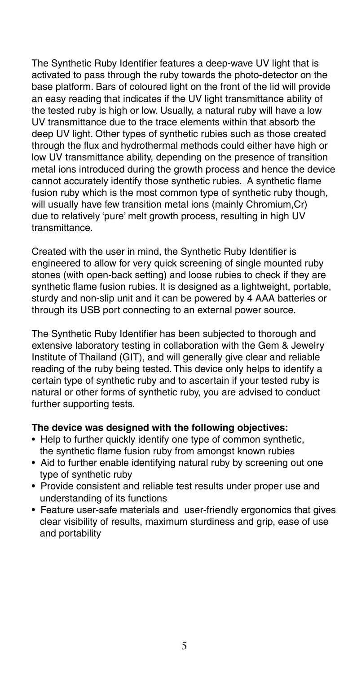The Synthetic Ruby Identifier features a deep-wave UV light that is activated to pass through the ruby towards the photo-detector on the base platform. Bars of coloured light on the front of the lid will provide an easy reading that indicates if the UV light transmittance ability of the tested ruby is high or low. Usually, a natural ruby will have a low UV transmittance due to the trace elements within that absorb the deep UV light. Other types of synthetic rubies such as those created through the flux and hydrothermal methods could either have high or low UV transmittance ability, depending on the presence of transition metal ions introduced during the growth process and hence the device cannot accurately identify those synthetic rubies. A synthetic flame fusion ruby which is the most common type of synthetic ruby though, will usually have few transition metal ions (mainly Chromium,Cr) due to relatively 'pure' melt growth process, resulting in high UV transmittance.

Created with the user in mind, the Synthetic Ruby Identifier is engineered to allow for very quick screening of single mounted ruby stones (with open-back setting) and loose rubies to check if they are synthetic flame fusion rubies. It is designed as a lightweight, portable, sturdy and non-slip unit and it can be powered by 4 AAA batteries or through its USB port connecting to an external power source.

The Synthetic Ruby Identifier has been subjected to thorough and extensive laboratory testing in collaboration with the Gem & Jewelry Institute of Thailand (GIT), and will generally give clear and reliable reading of the ruby being tested. This device only helps to identify a certain type of synthetic ruby and to ascertain if your tested ruby is natural or other forms of synthetic ruby, you are advised to conduct further supporting tests.

#### **The device was designed with the following objectives:**

- Help to further quickly identify one type of common synthetic. the synthetic flame fusion ruby from amongst known rubies
- Aid to further enable identifying natural ruby by screening out one type of synthetic ruby
- Provide consistent and reliable test results under proper use and understanding of its functions
- Feature user-safe materials and user-friendly ergonomics that gives clear visibility of results, maximum sturdiness and grip, ease of use and portability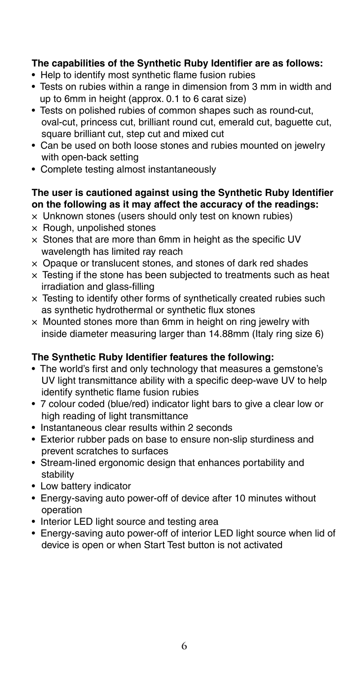#### **The capabilities of the Synthetic Ruby Identifier are as follows:**

- Help to identify most synthetic flame fusion rubies
- Tests on rubies within a range in dimension from 3 mm in width and up to 6mm in height (approx. 0.1 to 6 carat size)
- Tests on polished rubies of common shapes such as round-cut, oval-cut, princess cut, brilliant round cut, emerald cut, baguette cut, square brilliant cut, step cut and mixed cut
- Can be used on both loose stones and rubies mounted on jewelry with open-back setting
- Complete testing almost instantaneously

#### **The user is cautioned against using the Synthetic Ruby Identifier on the following as it may affect the accuracy of the readings:**

- × Unknown stones (users should only test on known rubies)
- × Rough, unpolished stones
- $\times$  Stones that are more than 6mm in height as the specific UV wavelength has limited ray reach
- × Opaque or translucent stones, and stones of dark red shades
- $\times$  Testing if the stone has been subjected to treatments such as heat irradiation and glass-filling
- $\times$  Testing to identify other forms of synthetically created rubies such as synthetic hydrothermal or synthetic flux stones
- $\times$  Mounted stones more than 6mm in height on ring jewelry with inside diameter measuring larger than 14.88mm (Italy ring size 6)

#### **The Synthetic Ruby Identifier features the following:**

- The world's first and only technology that measures a gemstone's UV light transmittance ability with a specific deep-wave UV to help identify synthetic flame fusion rubies
- 7 colour coded (blue/red) indicator light bars to give a clear low or high reading of light transmittance
- Instantaneous clear results within 2 seconds
- Exterior rubber pads on base to ensure non-slip sturdiness and prevent scratches to surfaces
- Stream-lined ergonomic design that enhances portability and stability
- Low battery indicator
- Energy-saving auto power-off of device after 10 minutes without operation
- Interior LED light source and testing area
- Energy-saving auto power-off of interior LED light source when lid of device is open or when Start Test button is not activated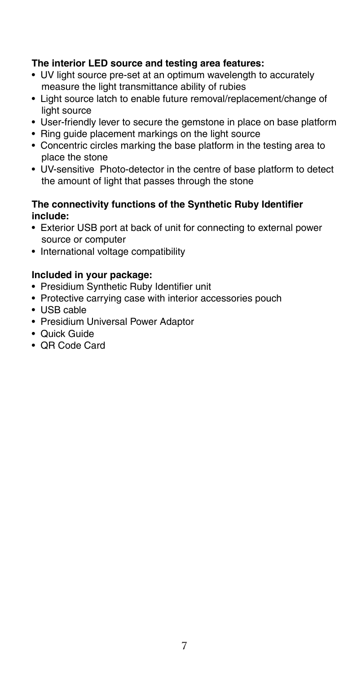#### **The interior LED source and testing area features:**

- UV light source pre-set at an optimum wavelength to accurately measure the light transmittance ability of rubies
- Light source latch to enable future removal/replacement/change of light source
- User-friendly lever to secure the gemstone in place on base platform
- Ring guide placement markings on the light source
- Concentric circles marking the base platform in the testing area to place the stone
- UV-sensitive Photo-detector in the centre of base platform to detect the amount of light that passes through the stone

#### **The connectivity functions of the Synthetic Ruby Identifier include:**

- Exterior USB port at back of unit for connecting to external power source or computer
- International voltage compatibility

#### **Included in your package:**

- Presidium Synthetic Ruby Identifier unit
- Protective carrying case with interior accessories pouch
- USB cable
- Presidium Universal Power Adaptor
- Quick Guide
- QR Code Card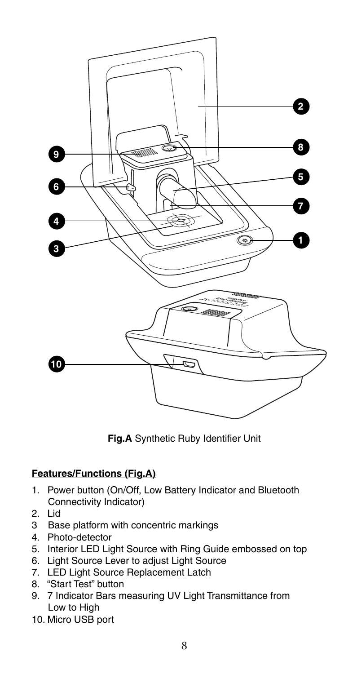

**Fig.A** Synthetic Ruby Identifier Unit

#### **Features/Functions (Fig.A)**

- 1. Power button (On/Off, Low Battery Indicator and Bluetooth Connectivity Indicator)
- 2. Lid<br>3 Bas
- Base platform with concentric markings
- 4. Photo-detector
- 5. Interior LED Light Source with Ring Guide embossed on top
- 6. Light Source Lever to adjust Light Source
- 7. LED Light Source Replacement Latch
- 8. "Start Test" button
- 9. 7 Indicator Bars measuring UV Light Transmittance from Low to High
- 10. Micro USB port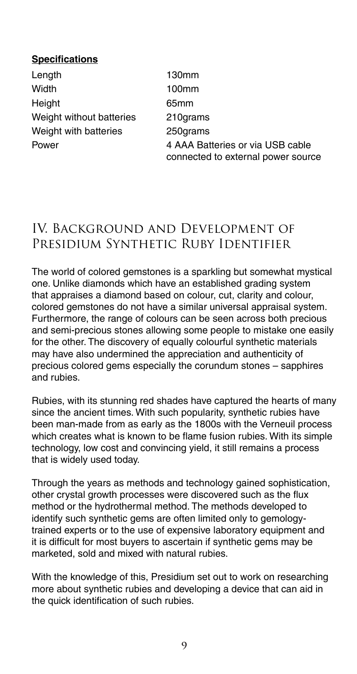#### **Specifications**

Length Width **Height** Weight without batteries Weight with batteries Power

130mm 100mm 65mm 210grams 250grams 4 AAA Batteries or via USB cable connected to external power source

## IV. Background and Development of PRESIDIUM SYNTHETIC RUBY IDENTIFIER

The world of colored gemstones is a sparkling but somewhat mystical one. Unlike diamonds which have an established grading system that appraises a diamond based on colour, cut, clarity and colour, colored gemstones do not have a similar universal appraisal system. Furthermore, the range of colours can be seen across both precious and semi-precious stones allowing some people to mistake one easily for the other. The discovery of equally colourful synthetic materials may have also undermined the appreciation and authenticity of precious colored gems especially the corundum stones – sapphires and rubies.

Rubies, with its stunning red shades have captured the hearts of many since the ancient times. With such popularity, synthetic rubies have been man-made from as early as the 1800s with the Verneuil process which creates what is known to be flame fusion rubies. With its simple technology, low cost and convincing yield, it still remains a process that is widely used today.

Through the years as methods and technology gained sophistication, other crystal growth processes were discovered such as the flux method or the hydrothermal method. The methods developed to identify such synthetic gems are often limited only to gemologytrained experts or to the use of expensive laboratory equipment and it is difficult for most buyers to ascertain if synthetic gems may be marketed, sold and mixed with natural rubies.

With the knowledge of this, Presidium set out to work on researching more about synthetic rubies and developing a device that can aid in the quick identification of such rubies.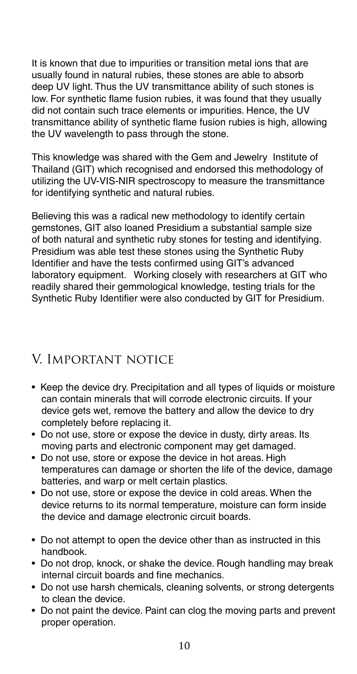It is known that due to impurities or transition metal ions that are usually found in natural rubies, these stones are able to absorb deep UV light. Thus the UV transmittance ability of such stones is low. For synthetic flame fusion rubies, it was found that they usually did not contain such trace elements or impurities. Hence, the UV transmittance ability of synthetic flame fusion rubies is high, allowing the UV wavelength to pass through the stone.

This knowledge was shared with the Gem and Jewelry Institute of Thailand (GIT) which recognised and endorsed this methodology of utilizing the UV-VIS-NIR spectroscopy to measure the transmittance for identifying synthetic and natural rubies.

Believing this was a radical new methodology to identify certain gemstones, GIT also loaned Presidium a substantial sample size of both natural and synthetic ruby stones for testing and identifying. Presidium was able test these stones using the Synthetic Ruby Identifier and have the tests confirmed using GIT's advanced laboratory equipment. Working closely with researchers at GIT who readily shared their gemmological knowledge, testing trials for the Synthetic Ruby Identifier were also conducted by GIT for Presidium.

## V. Important notice

- Keep the device dry. Precipitation and all types of liquids or moisture can contain minerals that will corrode electronic circuits. If your device gets wet, remove the battery and allow the device to dry completely before replacing it.
- Do not use, store or expose the device in dusty, dirty areas. Its moving parts and electronic component may get damaged.
- Do not use, store or expose the device in hot areas. High temperatures can damage or shorten the life of the device, damage batteries, and warp or melt certain plastics.
- Do not use, store or expose the device in cold areas. When the device returns to its normal temperature, moisture can form inside the device and damage electronic circuit boards.
- Do not attempt to open the device other than as instructed in this handbook.
- Do not drop, knock, or shake the device. Rough handling may break internal circuit boards and fine mechanics.
- Do not use harsh chemicals, cleaning solvents, or strong detergents to clean the device.
- Do not paint the device. Paint can clog the moving parts and prevent proper operation.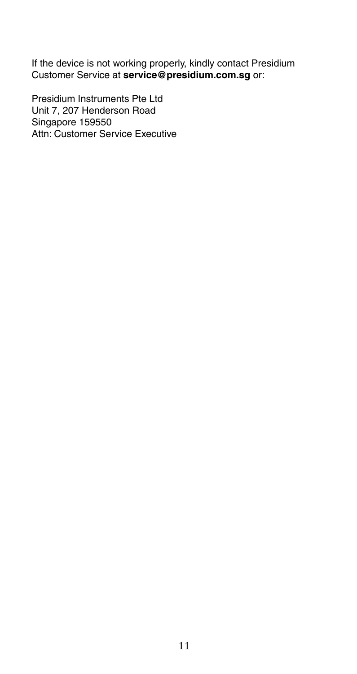If the device is not working properly, kindly contact Presidium Customer Service at **service@presidium.com.sg** or:

Presidium Instruments Pte Ltd Unit 7, 207 Henderson Road Singapore 159550 Attn: Customer Service Executive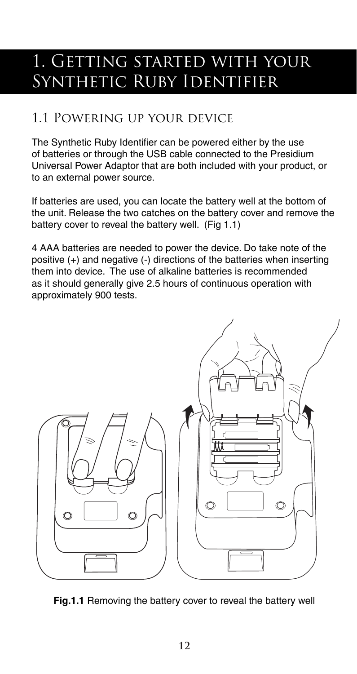## 1. Getting started with your Synthetic Ruby Identifier

## 1.1 Powering up your device

The Synthetic Ruby Identifier can be powered either by the use of batteries or through the USB cable connected to the Presidium Universal Power Adaptor that are both included with your product, or to an external power source.

If batteries are used, you can locate the battery well at the bottom of the unit. Release the two catches on the battery cover and remove the battery cover to reveal the battery well. (Fig 1.1)

4 AAA batteries are needed to power the device. Do take note of the positive (+) and negative (-) directions of the batteries when inserting them into device. The use of alkaline batteries is recommended as it should generally give 2.5 hours of continuous operation with approximately 900 tests.



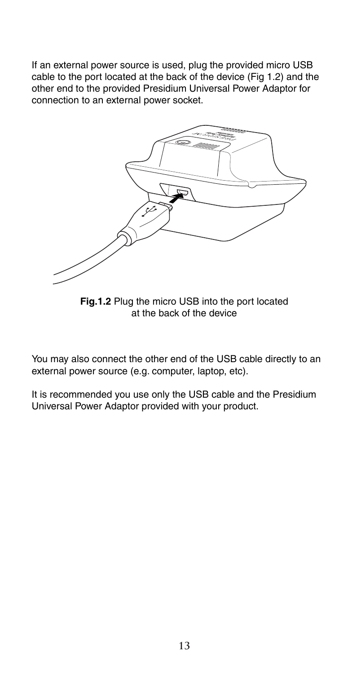If an external power source is used, plug the provided micro USB cable to the port located at the back of the device (Fig 1.2) and the other end to the provided Presidium Universal Power Adaptor for connection to an external power socket.



**Fig.1.2** Plug the micro USB into the port located at the back of the device

You may also connect the other end of the USB cable directly to an external power source (e.g. computer, laptop, etc).

It is recommended you use only the USB cable and the Presidium Universal Power Adaptor provided with your product.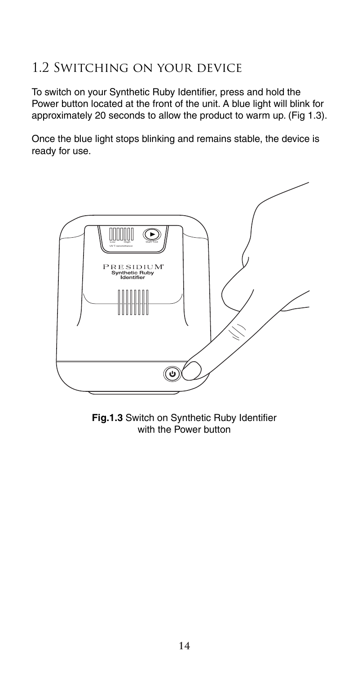## 1.2 Switching on your device

To switch on your Synthetic Ruby Identifier, press and hold the Power button located at the front of the unit. A blue light will blink for approximately 20 seconds to allow the product to warm up. (Fig 1.3).

Once the blue light stops blinking and remains stable, the device is ready for use.



**Fig.1.3** Switch on Synthetic Ruby Identifier with the Power button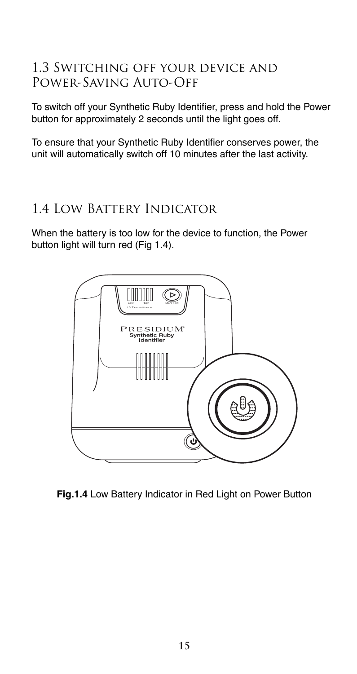### 1.3 Switching off your device and Power-Saving Auto-Off

To switch off your Synthetic Ruby Identifier, press and hold the Power button for approximately 2 seconds until the light goes off.

To ensure that your Synthetic Ruby Identifier conserves power, the unit will automatically switch off 10 minutes after the last activity.

## 1.4 Low Battery Indicator

When the battery is too low for the device to function, the Power button light will turn red (Fig 1.4).



**Fig.1.4** Low Battery Indicator in Red Light on Power Button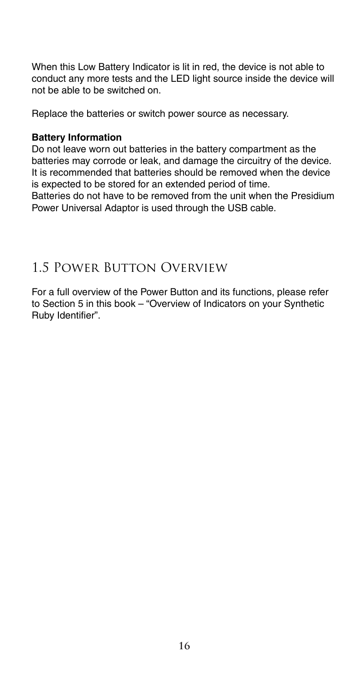When this Low Battery Indicator is lit in red, the device is not able to conduct any more tests and the LED light source inside the device will not be able to be switched on.

Replace the batteries or switch power source as necessary.

#### **Battery Information**

Do not leave worn out batteries in the battery compartment as the batteries may corrode or leak, and damage the circuitry of the device. It is recommended that batteries should be removed when the device is expected to be stored for an extended period of time.

Batteries do not have to be removed from the unit when the Presidium Power Universal Adaptor is used through the USB cable.

## 1.5 Power Button Overview

For a full overview of the Power Button and its functions, please refer to Section 5 in this book – "Overview of Indicators on your Synthetic Ruby Identifier".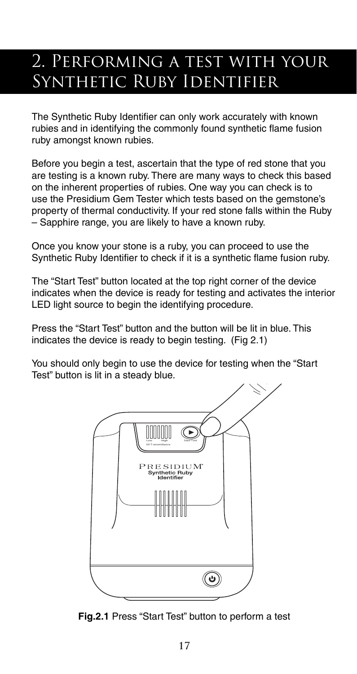## 2. Performing a test with your SYNTHETIC RUBY IDENTIFIER

The Synthetic Ruby Identifier can only work accurately with known rubies and in identifying the commonly found synthetic flame fusion ruby amongst known rubies.

Before you begin a test, ascertain that the type of red stone that you are testing is a known ruby. There are many ways to check this based on the inherent properties of rubies. One way you can check is to use the Presidium Gem Tester which tests based on the gemstone's property of thermal conductivity. If your red stone falls within the Ruby – Sapphire range, you are likely to have a known ruby.

Once you know your stone is a ruby, you can proceed to use the Synthetic Ruby Identifier to check if it is a synthetic flame fusion ruby.

The "Start Test" button located at the top right corner of the device indicates when the device is ready for testing and activates the interior LED light source to begin the identifying procedure.

Press the "Start Test" button and the button will be lit in blue. This indicates the device is ready to begin testing. (Fig 2.1)

You should only begin to use the device for testing when the "Start Test" button is lit in a steady blue.



**Fig.2.1** Press "Start Test" button to perform a test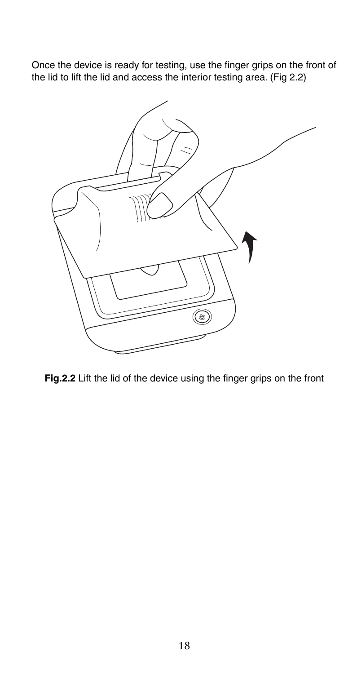Once the device is ready for testing, use the finger grips on the front of the lid to lift the lid and access the interior testing area. (Fig 2.2)



**Fig.2.2** Lift the lid of the device using the finger grips on the front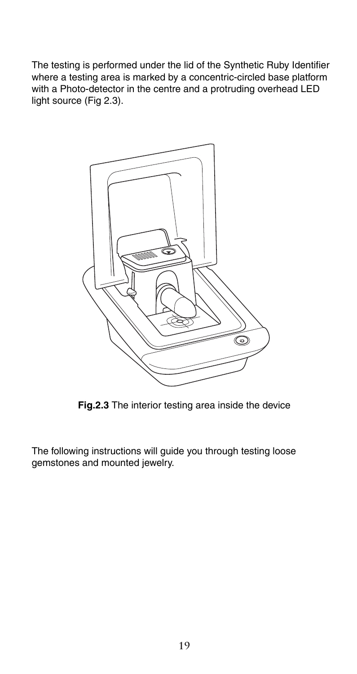The testing is performed under the lid of the Synthetic Ruby Identifier where a testing area is marked by a concentric-circled base platform with a Photo-detector in the centre and a protruding overhead LED light source (Fig 2.3).



**Fig.2.3** The interior testing area inside the device

The following instructions will guide you through testing loose gemstones and mounted jewelry.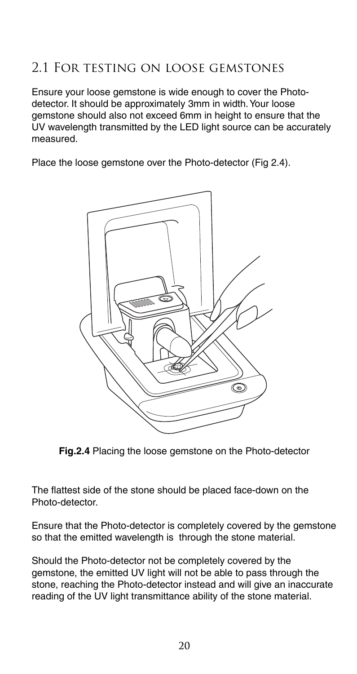## 2.1 For testing on loose gemstones

Ensure your loose gemstone is wide enough to cover the Photodetector. It should be approximately 3mm in width. Your loose gemstone should also not exceed 6mm in height to ensure that the UV wavelength transmitted by the LED light source can be accurately measured.

Place the loose gemstone over the Photo-detector (Fig 2.4).



**Fig.2.4** Placing the loose gemstone on the Photo-detector

The flattest side of the stone should be placed face-down on the Photo-detector.

Ensure that the Photo-detector is completely covered by the gemstone so that the emitted wavelength is through the stone material.

Should the Photo-detector not be completely covered by the gemstone, the emitted UV light will not be able to pass through the stone, reaching the Photo-detector instead and will give an inaccurate reading of the UV light transmittance ability of the stone material.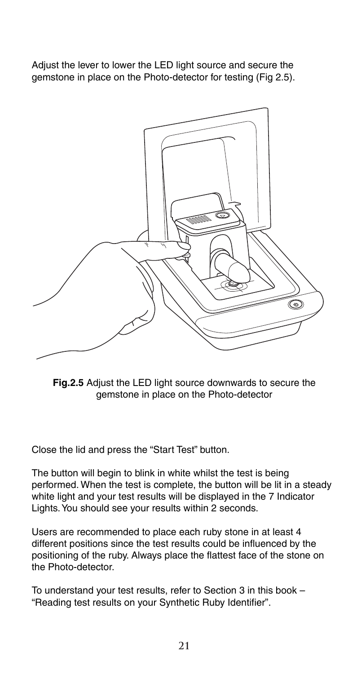Adjust the lever to lower the LED light source and secure the gemstone in place on the Photo-detector for testing (Fig 2.5).



**Fig.2.5** Adjust the LED light source downwards to secure the gemstone in place on the Photo-detector

Close the lid and press the "Start Test" button.

The button will begin to blink in white whilst the test is being performed. When the test is complete, the button will be lit in a steady white light and your test results will be displayed in the 7 Indicator Lights. You should see your results within 2 seconds.

Users are recommended to place each ruby stone in at least 4 different positions since the test results could be influenced by the positioning of the ruby. Always place the flattest face of the stone on the Photo-detector.

To understand your test results, refer to Section 3 in this book – "Reading test results on your Synthetic Ruby Identifier".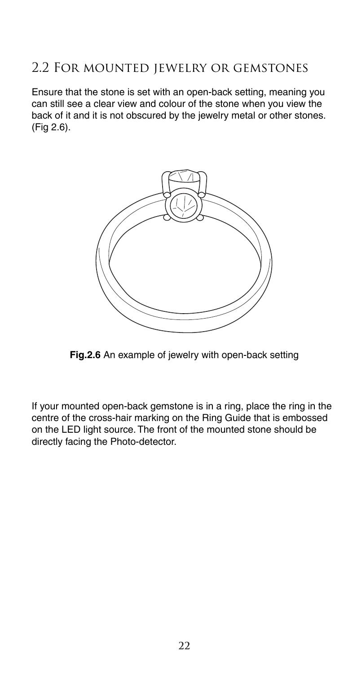### 2.2 For mounted jewelry or gemstones

Ensure that the stone is set with an open-back setting, meaning you can still see a clear view and colour of the stone when you view the back of it and it is not obscured by the jewelry metal or other stones. (Fig 2.6).



**Fig.2.6** An example of jewelry with open-back setting

If your mounted open-back gemstone is in a ring, place the ring in the centre of the cross-hair marking on the Ring Guide that is embossed on the LED light source. The front of the mounted stone should be directly facing the Photo-detector.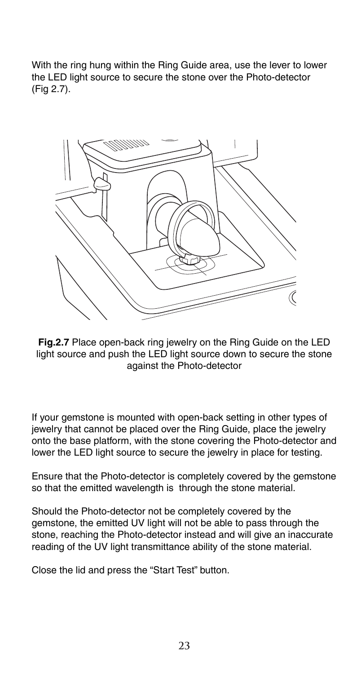With the ring hung within the Ring Guide area, use the lever to lower the LED light source to secure the stone over the Photo-detector (Fig 2.7).



**Fig.2.7** Place open-back ring jewelry on the Ring Guide on the LED light source and push the LED light source down to secure the stone against the Photo-detector

If your gemstone is mounted with open-back setting in other types of jewelry that cannot be placed over the Ring Guide, place the jewelry onto the base platform, with the stone covering the Photo-detector and lower the LED light source to secure the jewelry in place for testing.

Ensure that the Photo-detector is completely covered by the gemstone so that the emitted wavelength is through the stone material.

Should the Photo-detector not be completely covered by the gemstone, the emitted UV light will not be able to pass through the stone, reaching the Photo-detector instead and will give an inaccurate reading of the UV light transmittance ability of the stone material.

Close the lid and press the "Start Test" button.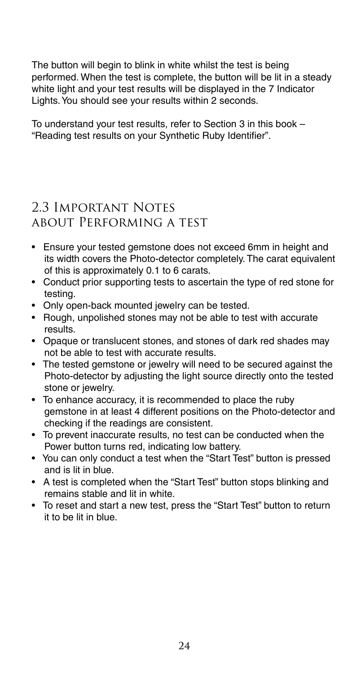The button will begin to blink in white whilst the test is being performed. When the test is complete, the button will be lit in a steady white light and your test results will be displayed in the 7 Indicator Lights. You should see your results within 2 seconds.

To understand your test results, refer to Section 3 in this book – "Reading test results on your Synthetic Ruby Identifier".

## 2.3 Important Notes about Performing a test

- Ensure your tested gemstone does not exceed 6mm in height and its width covers the Photo-detector completely. The carat equivalent of this is approximately 0.1 to 6 carats.
- Conduct prior supporting tests to ascertain the type of red stone for testing.
- Only open-back mounted jewelry can be tested.
- Rough, unpolished stones may not be able to test with accurate results.
- Opaque or translucent stones, and stones of dark red shades may not be able to test with accurate results.
- The tested gemstone or jewelry will need to be secured against the Photo-detector by adjusting the light source directly onto the tested stone or jewelry.
- To enhance accuracy, it is recommended to place the ruby gemstone in at least 4 different positions on the Photo-detector and checking if the readings are consistent.
- To prevent inaccurate results, no test can be conducted when the Power button turns red, indicating low battery.
- You can only conduct a test when the "Start Test" button is pressed and is lit in blue.
- A test is completed when the "Start Test" button stops blinking and remains stable and lit in white.
- To reset and start a new test, press the "Start Test" button to return it to be lit in blue.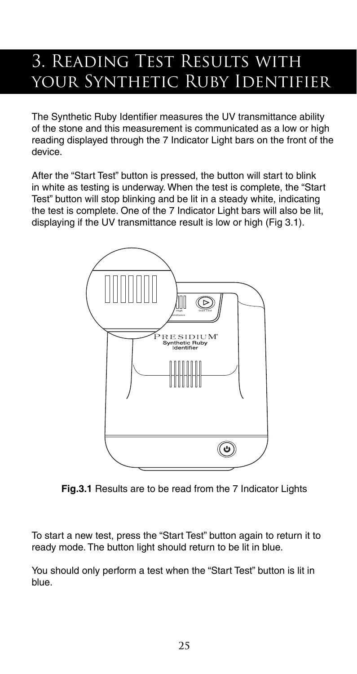## 3. Reading Test Results with your Synthetic Ruby Identifier

The Synthetic Ruby Identifier measures the UV transmittance ability of the stone and this measurement is communicated as a low or high reading displayed through the 7 Indicator Light bars on the front of the device.

After the "Start Test" button is pressed, the button will start to blink in white as testing is underway. When the test is complete, the "Start Test" button will stop blinking and be lit in a steady white, indicating the test is complete. One of the 7 Indicator Light bars will also be lit displaying if the UV transmittance result is low or high (Fig 3.1).



**Fig.3.1** Results are to be read from the 7 Indicator Lights

To start a new test, press the "Start Test" button again to return it to ready mode. The button light should return to be lit in blue.

You should only perform a test when the "Start Test" button is lit in blue.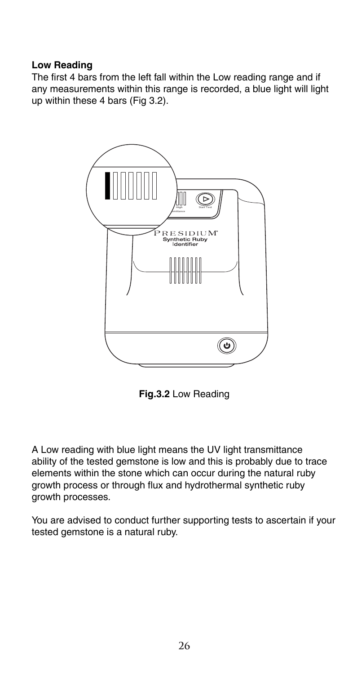#### **Low Reading**

The first 4 bars from the left fall within the Low reading range and if any measurements within this range is recorded, a blue light will light up within these 4 bars (Fig 3.2).



**Fig.3.2** Low Reading

A Low reading with blue light means the UV light transmittance ability of the tested gemstone is low and this is probably due to trace elements within the stone which can occur during the natural ruby growth process or through flux and hydrothermal synthetic ruby growth processes.

You are advised to conduct further supporting tests to ascertain if your tested gemstone is a natural ruby.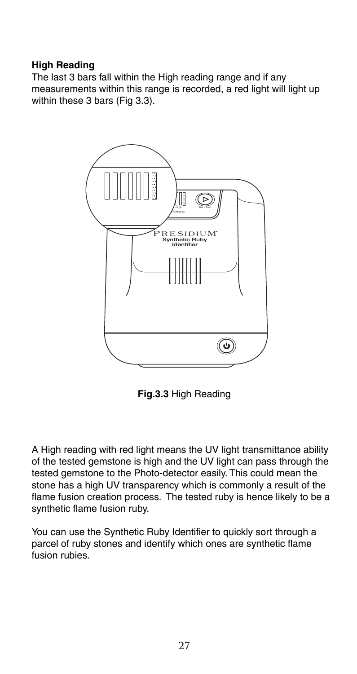#### **High Reading**

The last 3 bars fall within the High reading range and if any measurements within this range is recorded, a red light will light up within these 3 bars (Fig 3.3).



**Fig.3.3** High Reading

A High reading with red light means the UV light transmittance ability of the tested gemstone is high and the UV light can pass through the tested gemstone to the Photo-detector easily. This could mean the stone has a high UV transparency which is commonly a result of the flame fusion creation process. The tested ruby is hence likely to be a synthetic flame fusion ruby.

You can use the Synthetic Ruby Identifier to quickly sort through a parcel of ruby stones and identify which ones are synthetic flame fusion rubies.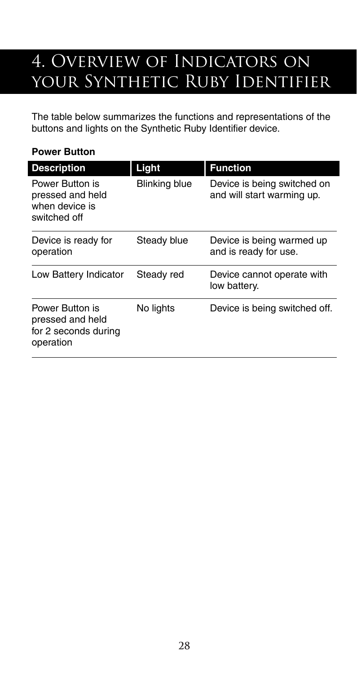## 4. Overview of Indicators on YOUR SYNTHETIC RUBY IDENTIFIER

The table below summarizes the functions and representations of the buttons and lights on the Synthetic Ruby Identifier device.

#### **Power Button**

| <b>Description</b>                                                       | Light                | <b>Function</b>                                           |
|--------------------------------------------------------------------------|----------------------|-----------------------------------------------------------|
| Power Button is<br>pressed and held<br>when device is<br>switched off    | <b>Blinking blue</b> | Device is being switched on<br>and will start warming up. |
| Device is ready for<br>operation                                         | Steady blue          | Device is being warmed up<br>and is ready for use.        |
| Low Battery Indicator                                                    | Steady red           | Device cannot operate with<br>low battery.                |
| Power Button is<br>pressed and held<br>for 2 seconds during<br>operation | No lights            | Device is being switched off.                             |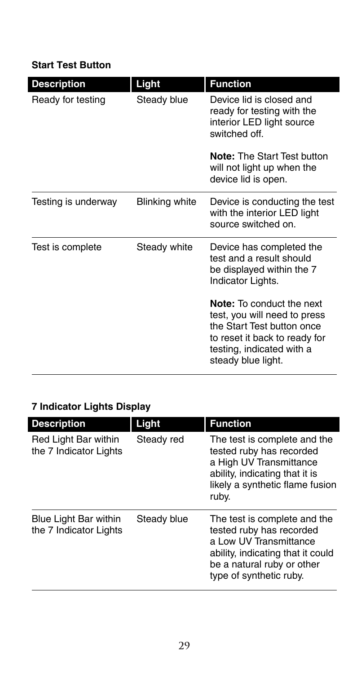#### **Start Test Button**

|                                         |                      | <b>Function</b>                                                                                                                                                                    |
|-----------------------------------------|----------------------|------------------------------------------------------------------------------------------------------------------------------------------------------------------------------------|
| <b>Description</b><br>Ready for testing | Light<br>Steady blue | Device lid is closed and<br>ready for testing with the<br>interior LED light source<br>switched off.                                                                               |
|                                         |                      | <b>Note: The Start Test button</b><br>will not light up when the<br>device lid is open.                                                                                            |
| Testing is underway                     | Blinking white       | Device is conducting the test<br>with the interior LED light<br>source switched on                                                                                                 |
| Test is complete                        | Steady white         | Device has completed the<br>test and a result should<br>be displayed within the 7<br>Indicator Lights.                                                                             |
|                                         |                      | <b>Note:</b> To conduct the next<br>test, you will need to press<br>the Start Test button once<br>to reset it back to ready for<br>testing, indicated with a<br>steady blue light. |

## **7 Indicator Lights Display**

| <b>Description</b>                              | Light       | <b>Function</b>                                                                                                                                                                  |
|-------------------------------------------------|-------------|----------------------------------------------------------------------------------------------------------------------------------------------------------------------------------|
| Red Light Bar within<br>the 7 Indicator Lights  | Steady red  | The test is complete and the<br>tested ruby has recorded<br>a High UV Transmittance<br>ability, indicating that it is<br>likely a synthetic flame fusion<br>ruby.                |
| Blue Light Bar within<br>the 7 Indicator Lights | Steady blue | The test is complete and the<br>tested ruby has recorded<br>a Low UV Transmittance<br>ability, indicating that it could<br>be a natural ruby or other<br>type of synthetic ruby. |